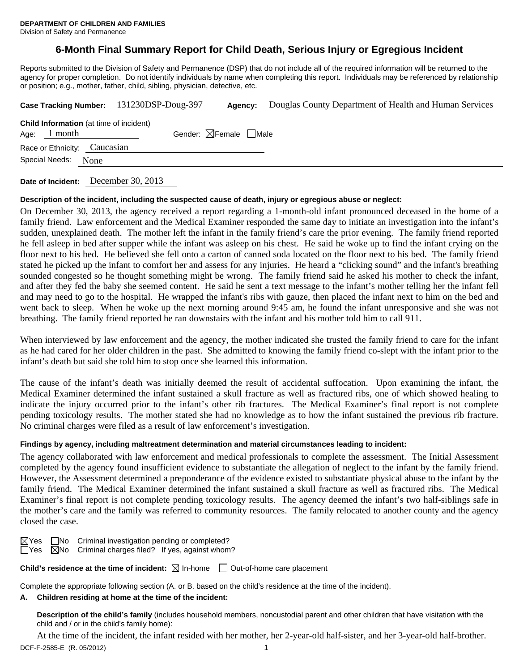# **6-Month Final Summary Report for Child Death, Serious Injury or Egregious Incident**

Reports submitted to the Division of Safety and Permanence (DSP) that do not include all of the required information will be returned to the agency for proper completion. Do not identify individuals by name when completing this report. Individuals may be referenced by relationship or position; e.g., mother, father, child, sibling, physician, detective, etc.

|                                                                  | Case Tracking Number: 131230DSP-Doug-397 | Agency:                                | Douglas County Department of Health and Human Services |  |  |  |
|------------------------------------------------------------------|------------------------------------------|----------------------------------------|--------------------------------------------------------|--|--|--|
| <b>Child Information</b> (at time of incident)<br>Age: $1$ month |                                          | Gender: $\boxtimes$ Female $\Box$ Male |                                                        |  |  |  |
| Race or Ethnicity: Caucasian                                     |                                          |                                        |                                                        |  |  |  |
| Special Needs: None                                              |                                          |                                        |                                                        |  |  |  |
|                                                                  |                                          |                                        |                                                        |  |  |  |

**Date of Incident:** December 30, 2013

## **Description of the incident, including the suspected cause of death, injury or egregious abuse or neglect:**

On December 30, 2013, the agency received a report regarding a 1-month-old infant pronounced deceased in the home of a family friend. Law enforcement and the Medical Examiner responded the same day to initiate an investigation into the infant's sudden, unexplained death. The mother left the infant in the family friend's care the prior evening. The family friend reported he fell asleep in bed after supper while the infant was asleep on his chest. He said he woke up to find the infant crying on the floor next to his bed. He believed she fell onto a carton of canned soda located on the floor next to his bed. The family friend stated he picked up the infant to comfort her and assess for any injuries. He heard a "clicking sound" and the infant's breathing sounded congested so he thought something might be wrong. The family friend said he asked his mother to check the infant, and after they fed the baby she seemed content. He said he sent a text message to the infant's mother telling her the infant fell and may need to go to the hospital. He wrapped the infant's ribs with gauze, then placed the infant next to him on the bed and went back to sleep. When he woke up the next morning around 9:45 am, he found the infant unresponsive and she was not breathing. The family friend reported he ran downstairs with the infant and his mother told him to call 911.

When interviewed by law enforcement and the agency, the mother indicated she trusted the family friend to care for the infant as he had cared for her older children in the past. She admitted to knowing the family friend co-slept with the infant prior to the infant's death but said she told him to stop once she learned this information.

The cause of the infant's death was initially deemed the result of accidental suffocation. Upon examining the infant, the Medical Examiner determined the infant sustained a skull fracture as well as fractured ribs, one of which showed healing to indicate the injury occurred prior to the infant's other rib fractures. The Medical Examiner's final report is not complete pending toxicology results. The mother stated she had no knowledge as to how the infant sustained the previous rib fracture. No criminal charges were filed as a result of law enforcement's investigation.

## **Findings by agency, including maltreatment determination and material circumstances leading to incident:**

The agency collaborated with law enforcement and medical professionals to complete the assessment. The Initial Assessment completed by the agency found insufficient evidence to substantiate the allegation of neglect to the infant by the family friend. However, the Assessment determined a preponderance of the evidence existed to substantiate physical abuse to the infant by the family friend. The Medical Examiner determined the infant sustained a skull fracture as well as fractured ribs. The Medical Examiner's final report is not complete pending toxicology results. The agency deemed the infant's two half-siblings safe in the mother's care and the family was referred to community resources. The family relocated to another county and the agency closed the case.

 $\boxtimes$ Yes  $\Box$ No Criminal investigation pending or completed?  $\overline{\Box}$ Yes  $\overline{\boxtimes}$ No Criminal charges filed? If yes, against whom?

**Child's residence at the time of incident:**  $\boxtimes$  In-home  $\Box$  Out-of-home care placement

Complete the appropriate following section (A. or B. based on the child's residence at the time of the incident).

## **A. Children residing at home at the time of the incident:**

**Description of the child's family** (includes household members, noncustodial parent and other children that have visitation with the child and / or in the child's family home):

DCF-F-2585-E (R. 05/2012) 1 At the time of the incident, the infant resided with her mother, her 2-year-old half-sister, and her 3-year-old half-brother.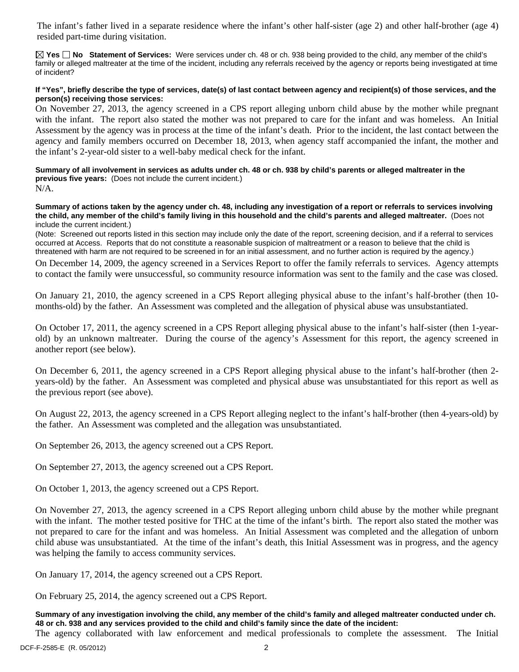The infant's father lived in a separate residence where the infant's other half-sister (age 2) and other half-brother (age 4) resided part-time during visitation.

**Yes No Statement of Services:** Were services under ch. 48 or ch. 938 being provided to the child, any member of the child's family or alleged maltreater at the time of the incident, including any referrals received by the agency or reports being investigated at time of incident?

## **If "Yes", briefly describe the type of services, date(s) of last contact between agency and recipient(s) of those services, and the person(s) receiving those services:**

On November 27, 2013, the agency screened in a CPS report alleging unborn child abuse by the mother while pregnant with the infant. The report also stated the mother was not prepared to care for the infant and was homeless. An Initial Assessment by the agency was in process at the time of the infant's death. Prior to the incident, the last contact between the agency and family members occurred on December 18, 2013, when agency staff accompanied the infant, the mother and the infant's 2-year-old sister to a well-baby medical check for the infant.

**Summary of all involvement in services as adults under ch. 48 or ch. 938 by child's parents or alleged maltreater in the previous five years:** (Does not include the current incident.)

 $N/A$ .

**Summary of actions taken by the agency under ch. 48, including any investigation of a report or referrals to services involving the child, any member of the child's family living in this household and the child's parents and alleged maltreater.** (Does not include the current incident.)

(Note: Screened out reports listed in this section may include only the date of the report, screening decision, and if a referral to services occurred at Access. Reports that do not constitute a reasonable suspicion of maltreatment or a reason to believe that the child is threatened with harm are not required to be screened in for an initial assessment, and no further action is required by the agency.)

On December 14, 2009, the agency screened in a Services Report to offer the family referrals to services. Agency attempts to contact the family were unsuccessful, so community resource information was sent to the family and the case was closed.

On January 21, 2010, the agency screened in a CPS Report alleging physical abuse to the infant's half-brother (then 10 months-old) by the father. An Assessment was completed and the allegation of physical abuse was unsubstantiated.

On October 17, 2011, the agency screened in a CPS Report alleging physical abuse to the infant's half-sister (then 1-yearold) by an unknown maltreater. During the course of the agency's Assessment for this report, the agency screened in another report (see below).

On December 6, 2011, the agency screened in a CPS Report alleging physical abuse to the infant's half-brother (then 2 years-old) by the father. An Assessment was completed and physical abuse was unsubstantiated for this report as well as the previous report (see above).

On August 22, 2013, the agency screened in a CPS Report alleging neglect to the infant's half-brother (then 4-years-old) by the father. An Assessment was completed and the allegation was unsubstantiated.

On September 26, 2013, the agency screened out a CPS Report.

On September 27, 2013, the agency screened out a CPS Report.

On October 1, 2013, the agency screened out a CPS Report.

On November 27, 2013, the agency screened in a CPS Report alleging unborn child abuse by the mother while pregnant with the infant. The mother tested positive for THC at the time of the infant's birth. The report also stated the mother was not prepared to care for the infant and was homeless. An Initial Assessment was completed and the allegation of unborn child abuse was unsubstantiated. At the time of the infant's death, this Initial Assessment was in progress, and the agency was helping the family to access community services.

On January 17, 2014, the agency screened out a CPS Report.

On February 25, 2014, the agency screened out a CPS Report.

**Summary of any investigation involving the child, any member of the child's family and alleged maltreater conducted under ch. 48 or ch. 938 and any services provided to the child and child's family since the date of the incident:** 

The agency collaborated with law enforcement and medical professionals to complete the assessment. The Initial